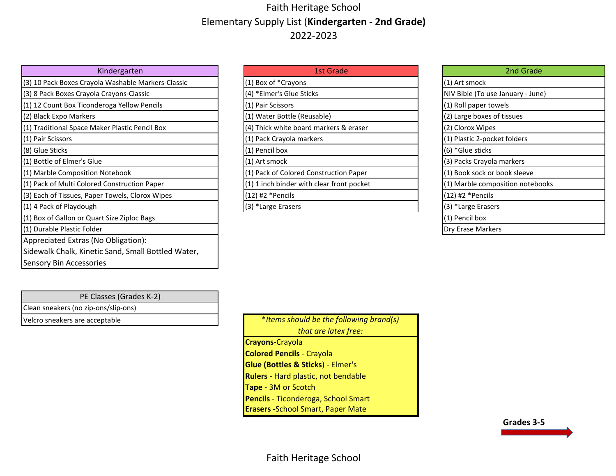## Faith Heritage School Elementary Supply List (**Kindergarten - 2nd Grade)** 2022-2023

| Kindergarten                                       | <b>1st Grade</b>                          | 2nd Grade                         |
|----------------------------------------------------|-------------------------------------------|-----------------------------------|
| (3) 10 Pack Boxes Crayola Washable Markers-Classic | (1) Box of *Crayons                       | (1) Art smock                     |
| (3) 8 Pack Boxes Crayola Crayons-Classic           | (4) *Elmer's Glue Sticks                  | NIV Bible (To use January - June) |
| (1) 12 Count Box Ticonderoga Yellow Pencils        | (1) Pair Scissors                         | (1) Roll paper towels             |
| (2) Black Expo Markers                             | (1) Water Bottle (Reusable)               | (2) Large boxes of tissues        |
| (1) Traditional Space Maker Plastic Pencil Box     | (4) Thick white board markers & eraser    | (2) Clorox Wipes                  |
| (1) Pair Scissors                                  | (1) Pack Crayola markers                  | (1) Plastic 2-pocket folders      |
| (8) Glue Sticks                                    | (1) Pencil box                            | (6) *Glue sticks                  |
| (1) Bottle of Elmer's Glue                         | (1) Art smock                             | (3) Packs Crayola markers         |
| (1) Marble Composition Notebook                    | (1) Pack of Colored Construction Paper    | (1) Book sock or book sleeve      |
| (1) Pack of Multi Colored Construction Paper       | (1) 1 inch binder with clear front pocket | (1) Marble composition notebooks  |
| (3) Each of Tissues, Paper Towels, Clorox Wipes    | $(12)$ #2 *Pencils                        | (12) #2 *Pencils                  |
| (1) 4 Pack of Playdough                            | (3) *Large Erasers                        | (3) *Large Erasers                |
| (1) Box of Gallon or Quart Size Ziploc Bags        |                                           | (1) Pencil box                    |
| (1) Durable Plastic Folder                         |                                           | Dry Erase Markers                 |
| Appreciated Extras (No Obligation):                |                                           |                                   |
| Sidewalk Chalk, Kinetic Sand, Small Bottled Water, |                                           |                                   |
| Sensory Bin Accessories                            |                                           |                                   |

| Kindergarten                | 1st Grade                                 | 2nd Grade                        |
|-----------------------------|-------------------------------------------|----------------------------------|
| la Washable Markers-Classic | (1) Box of *Crayons                       | (1) Art smock                    |
| a Crayons-Classic           | (4) *Elmer's Glue Sticks                  | NIV Bible (To use January - June |
| leroga Yellow Pencils       | (1) Pair Scissors                         | (1) Roll paper towels            |
|                             | (1) Water Bottle (Reusable)               | (2) Large boxes of tissues       |
| aker Plastic Pencil Box     | (4) Thick white board markers & eraser    | (2) Clorox Wipes                 |
|                             | (1) Pack Crayola markers                  | (1) Plastic 2-pocket folders     |
|                             | (1) Pencil box                            | (6) *Glue sticks                 |
| e                           | (1) Art smock                             | (3) Packs Crayola markers        |
| Notebook                    | (1) Pack of Colored Construction Paper    | (1) Book sock or book sleeve     |
| d Construction Paper        | (1) 1 inch binder with clear front pocket | (1) Marble composition notebo    |
| er Towels, Clorox Wipes     | $(12)$ #2 *Pencils                        | (12) #2 * Pencils                |
|                             | (3) *Large Frasers                        | (3) *Large Frasers               |

| 2nd Grade                         |  |
|-----------------------------------|--|
| (1) Art smock                     |  |
| NIV Bible (To use January - June) |  |
| (1) Roll paper towels             |  |
| (2) Large boxes of tissues        |  |
| (2) Clorox Wipes                  |  |
| 1) Plastic 2-pocket folders       |  |
| (6) *Glue sticks                  |  |
| (3) Packs Crayola markers         |  |
| (1) Book sock or book sleeve      |  |
| (1) Marble composition notebooks  |  |
| '12) #2 *Pencils                  |  |
| (3) *Large Erasers                |  |
| 1) Pencil box                     |  |
| Dry Erase Markers                 |  |

| PE Classes (Grades K-2)              |                                         |
|--------------------------------------|-----------------------------------------|
| Clean sneakers (no zip-ons/slip-ons) |                                         |
| Velcro sneakers are acceptable       | *Items should be the following brand(s) |

| *Items should be the following brand(s)      |
|----------------------------------------------|
| that are latex free:                         |
| <b>Crayons-Crayola</b>                       |
| <b>Colored Pencils - Crayola</b>             |
| <b>Glue (Bottles &amp; Sticks) - Elmer's</b> |
| <b>Rulers</b> - Hard plastic, not bendable   |

**Tape** - 3M or Scotch

**Pencils** - Ticonderoga, School Smart

**Erasers -**School Smart, Paper Mate

**Grades 3-5**